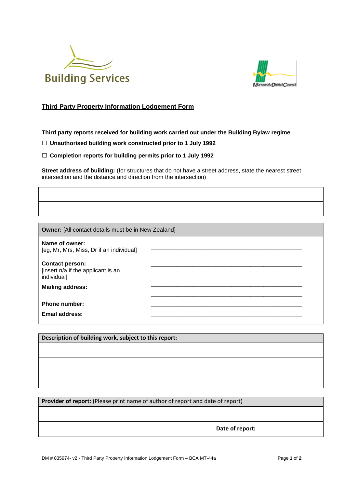



## **Third Party Property Information Lodgement Form**

**Third party reports received for building work carried out under the Building Bylaw regime**

□ **Unauthorised building work constructed prior to 1 July 1992**

□ **Completion reports for building permits prior to 1 July 1992**

**Street address of building:** (for structures that do not have a street address, state the nearest street intersection and the distance and direction from the intersection)

**Owner:** [All contact details must be in New Zealand]

**Name of owner:**  [eg, Mr, Mrs, Miss, Dr if an individual] **Contact person:**  \_\_\_\_\_\_\_\_\_\_\_\_\_\_\_\_\_\_\_\_\_\_\_\_\_\_\_\_\_\_\_\_\_\_\_\_\_\_\_\_\_\_\_\_\_\_\_

[insert n/a if the applicant is an individual]

**Mailing address:** 

Phone number: Email address:

**Description of building work, subject to this report:**

Provider of report: (Please print name of author of report and date of report)

**Date of report:**

\_\_\_\_\_\_\_\_\_\_\_\_\_\_\_\_\_\_\_\_\_\_\_\_\_\_\_\_\_\_\_\_\_\_\_\_\_\_\_\_\_\_\_\_\_\_\_